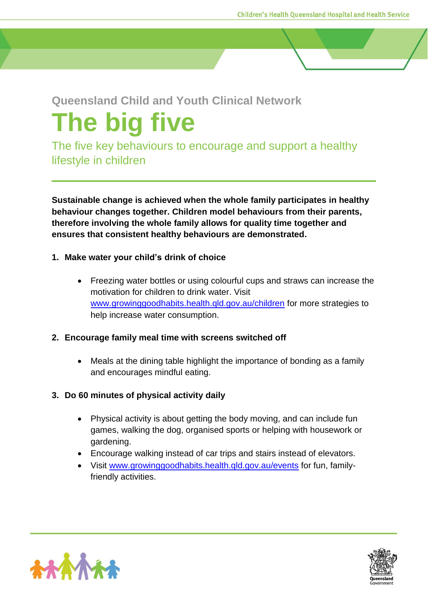# **Queensland Child and Youth Clinical Network**

# **The big five**

The five key behaviours to encourage and support a healthy lifestyle in children

**Sustainable change is achieved when the whole family participates in healthy behaviour changes together. Children model behaviours from their parents, therefore involving the whole family allows for quality time together and ensures that consistent healthy behaviours are demonstrated.** 

### **1. Make water your child's drink of choice**

• Freezing water bottles or using colourful cups and straws can increase the motivation for children to drink water. Visit [www.growinggoodhabits.health.qld.gov.au/children](http://www.growinggoodhabits.health.qld.gov.au/children) for more strategies to help increase water consumption.

#### **2. Encourage family meal time with screens switched off**

• Meals at the dining table highlight the importance of bonding as a family and encourages mindful eating.

## **3. Do 60 minutes of physical activity daily**

- Physical activity is about getting the body moving, and can include fun games, walking the dog, organised sports or helping with housework or gardening.
- Encourage walking instead of car trips and stairs instead of elevators.
- Visit [www.growinggoodhabits.health.qld.gov.au/events](http://www.growinggoodhabits.health.qld.gov.au/events) for fun, familyfriendly activities.